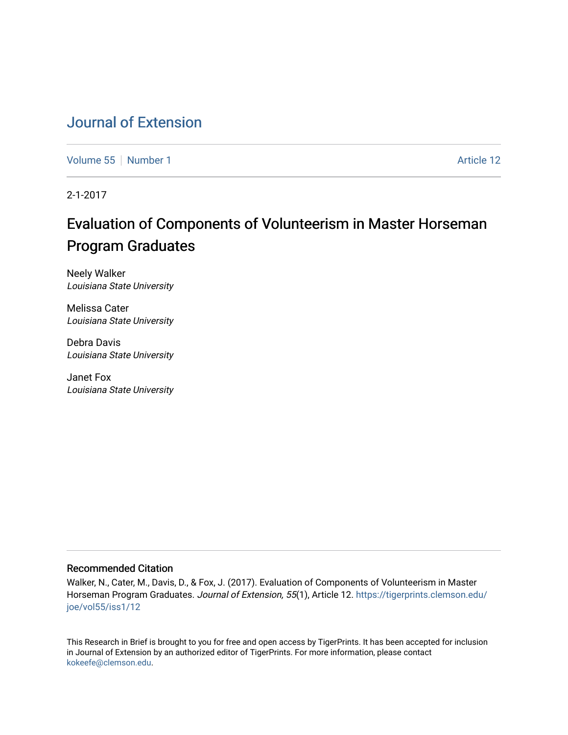## [Journal of Extension](https://tigerprints.clemson.edu/joe)

[Volume 55](https://tigerprints.clemson.edu/joe/vol55) [Number 1](https://tigerprints.clemson.edu/joe/vol55/iss1) Article 12

2-1-2017

# Evaluation of Components of Volunteerism in Master Horseman Program Graduates

Neely Walker Louisiana State University

Melissa Cater Louisiana State University

Debra Davis Louisiana State University

Janet Fox Louisiana State University

#### Recommended Citation

Walker, N., Cater, M., Davis, D., & Fox, J. (2017). Evaluation of Components of Volunteerism in Master Horseman Program Graduates. Journal of Extension, 55(1), Article 12. [https://tigerprints.clemson.edu/](https://tigerprints.clemson.edu/joe/vol55/iss1/12) [joe/vol55/iss1/12](https://tigerprints.clemson.edu/joe/vol55/iss1/12)

This Research in Brief is brought to you for free and open access by TigerPrints. It has been accepted for inclusion in Journal of Extension by an authorized editor of TigerPrints. For more information, please contact [kokeefe@clemson.edu](mailto:kokeefe@clemson.edu).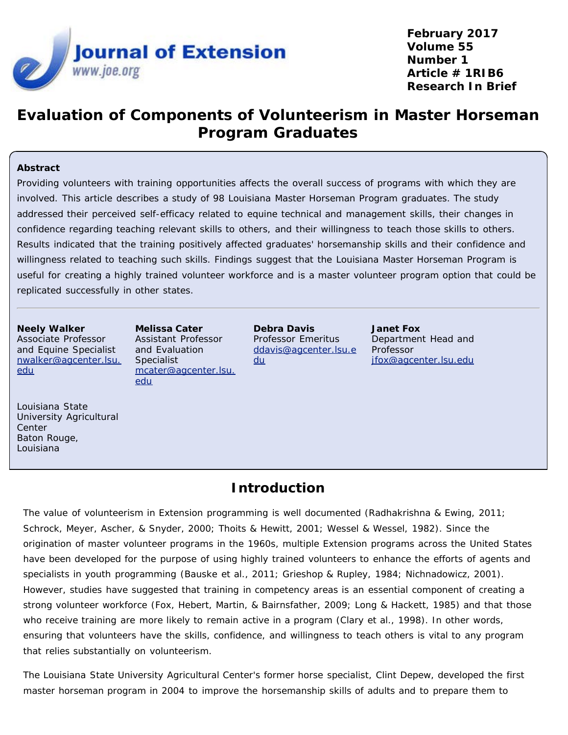

**February 2017 Volume 55 Number 1 Article # 1RIB6 Research In Brief**

## **Evaluation of Components of Volunteerism in Master Horseman Program Graduates**

#### **Abstract**

Providing volunteers with training opportunities affects the overall success of programs with which they are involved. This article describes a study of 98 Louisiana Master Horseman Program graduates. The study addressed their perceived self-efficacy related to equine technical and management skills, their changes in confidence regarding teaching relevant skills to others, and their willingness to teach those skills to others. Results indicated that the training positively affected graduates' horsemanship skills and their confidence and willingness related to teaching such skills. Findings suggest that the Louisiana Master Horseman Program is useful for creating a highly trained volunteer workforce and is a master volunteer program option that could be replicated successfully in other states.

**Neely Walker** Associate Professor and Equine Specialist [nwalker@agcenter.lsu.](mailto:nwalker@agcenter.lsu.edu) [edu](mailto:nwalker@agcenter.lsu.edu)

**Melissa Cater** Assistant Professor and Evaluation Specialist [mcater@agcenter.lsu.](mailto:mcater@agcenter.lsu.edu) [edu](mailto:mcater@agcenter.lsu.edu)

**Debra Davis** Professor Emeritus [ddavis@agcenter.lsu.e](mailto:ddavis@agcenter.lsu.edu) [du](mailto:ddavis@agcenter.lsu.edu)

**Janet Fox** Department Head and Professor [jfox@agcenter.lsu.edu](mailto:jfox@agcenter.lsu.edu)

Louisiana State University Agricultural Center Baton Rouge, Louisiana

### **Introduction**

The value of volunteerism in Extension programming is well documented (Radhakrishna & Ewing, 2011; Schrock, Meyer, Ascher, & Snyder, 2000; Thoits & Hewitt, 2001; Wessel & Wessel, 1982). Since the origination of master volunteer programs in the 1960s, multiple Extension programs across the United States have been developed for the purpose of using highly trained volunteers to enhance the efforts of agents and specialists in youth programming (Bauske et al., 2011; Grieshop & Rupley, 1984; Nichnadowicz, 2001). However, studies have suggested that training in competency areas is an essential component of creating a strong volunteer workforce (Fox, Hebert, Martin, & Bairnsfather, 2009; Long & Hackett, 1985) and that those who receive training are more likely to remain active in a program (Clary et al., 1998). In other words, ensuring that volunteers have the skills, confidence, and willingness to teach others is vital to any program that relies substantially on volunteerism.

The Louisiana State University Agricultural Center's former horse specialist, Clint Depew, developed the first master horseman program in 2004 to improve the horsemanship skills of adults and to prepare them to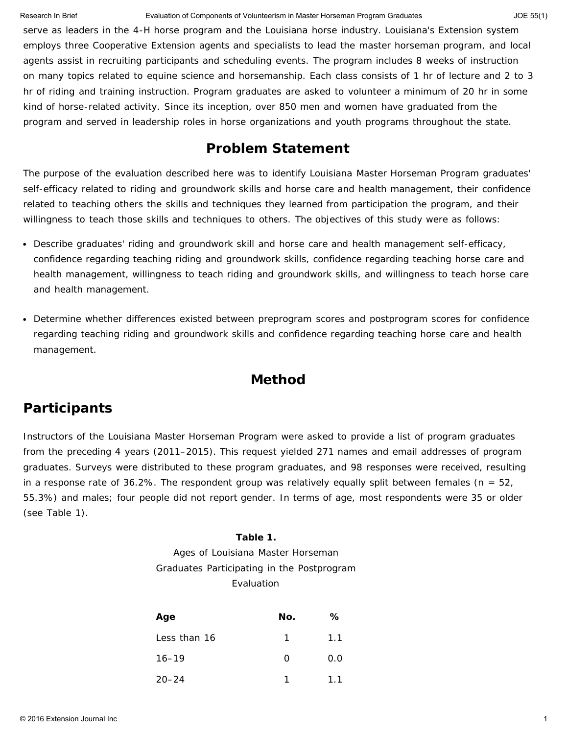Research In Brief **Exaluation of Components of Volunteerism** in Master Horseman Program Graduates JOE 55(1) JOE 55(1)

serve as leaders in the 4-H horse program and the Louisiana horse industry. Louisiana's Extension system employs three Cooperative Extension agents and specialists to lead the master horseman program, and local agents assist in recruiting participants and scheduling events. The program includes 8 weeks of instruction on many topics related to equine science and horsemanship. Each class consists of 1 hr of lecture and 2 to 3 hr of riding and training instruction. Program graduates are asked to volunteer a minimum of 20 hr in some kind of horse-related activity. Since its inception, over 850 men and women have graduated from the program and served in leadership roles in horse organizations and youth programs throughout the state.

### **Problem Statement**

The purpose of the evaluation described here was to identify Louisiana Master Horseman Program graduates' self-efficacy related to riding and groundwork skills and horse care and health management, their confidence related to teaching others the skills and techniques they learned from participation the program, and their willingness to teach those skills and techniques to others. The objectives of this study were as follows:

- Describe graduates' riding and groundwork skill and horse care and health management self-efficacy, confidence regarding teaching riding and groundwork skills, confidence regarding teaching horse care and health management, willingness to teach riding and groundwork skills, and willingness to teach horse care and health management.
- Determine whether differences existed between preprogram scores and postprogram scores for confidence regarding teaching riding and groundwork skills and confidence regarding teaching horse care and health management.

## **Method**

## **Participants**

Instructors of the Louisiana Master Horseman Program were asked to provide a list of program graduates from the preceding 4 years (2011–2015). This request yielded 271 names and email addresses of program graduates. Surveys were distributed to these program graduates, and 98 responses were received, resulting in a response rate of 36.2%. The respondent group was relatively equally split between females (*n* = 52, 55.3%) and males; four people did not report gender. In terms of age, most respondents were 35 or older (see Table 1).

### **Table 1.**

Ages of Louisiana Master Horseman Graduates Participating in the Postprogram Evaluation

| Age          | No. | ℅   |
|--------------|-----|-----|
| Less than 16 | 1   | 1.1 |
| $16 - 19$    | O   | 0.0 |
| $20 - 24$    |     | 1.1 |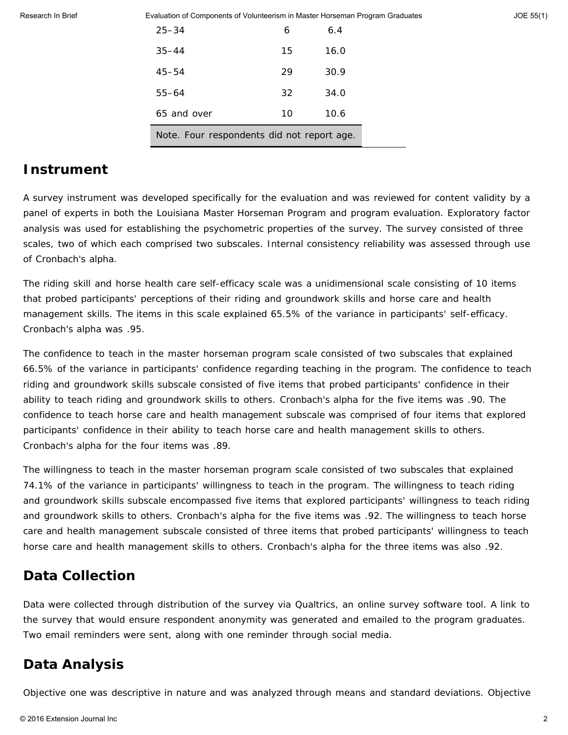Evaluation of Components of Volunteerism in Master Horseman Program Graduates JOE 55(1)

| $25 - 34$                                  | 6  | 6.4  |
|--------------------------------------------|----|------|
| $35 - 44$                                  | 15 | 16.0 |
| $45 - 54$                                  | 29 | 30.9 |
| $55 - 64$                                  | 32 | 34.0 |
| 65 and over                                | 10 | 10.6 |
| Note. Four respondents did not report age. |    |      |

### **Instrument**

A survey instrument was developed specifically for the evaluation and was reviewed for content validity by a panel of experts in both the Louisiana Master Horseman Program and program evaluation. Exploratory factor analysis was used for establishing the psychometric properties of the survey. The survey consisted of three scales, two of which each comprised two subscales. Internal consistency reliability was assessed through use of Cronbach's alpha.

The *riding skill and horse health care self-efficacy* scale was a unidimensional scale consisting of 10 items that probed participants' perceptions of their riding and groundwork skills and horse care and health management skills. The items in this scale explained 65.5% of the variance in participants' self-efficacy. Cronbach's alpha was .95.

The *confidence to teach in the master horseman program* scale consisted of two subscales that explained 66.5% of the variance in participants' confidence regarding teaching in the program. The *confidence to teach riding and groundwork skills* subscale consisted of five items that probed participants' confidence in their ability to teach riding and groundwork skills to others. Cronbach's alpha for the five items was .90. The *confidence to teach horse care and health management* subscale was comprised of four items that explored participants' confidence in their ability to teach horse care and health management skills to others. Cronbach's alpha for the four items was .89.

The *willingness to teach in the master horseman program* scale consisted of two subscales that explained 74.1% of the variance in participants' willingness to teach in the program. The *willingness to teach riding and groundwork skills* subscale encompassed five items that explored participants' willingness to teach riding and groundwork skills to others. Cronbach's alpha for the five items was .92. The *willingness to teach horse care and health management* subscale consisted of three items that probed participants' willingness to teach horse care and health management skills to others. Cronbach's alpha for the three items was also .92.

### **Data Collection**

Data were collected through distribution of the survey via Qualtrics, an online survey software tool. A link to the survey that would ensure respondent anonymity was generated and emailed to the program graduates. Two email reminders were sent, along with one reminder through social media.

## **Data Analysis**

Objective one was descriptive in nature and was analyzed through means and standard deviations. Objective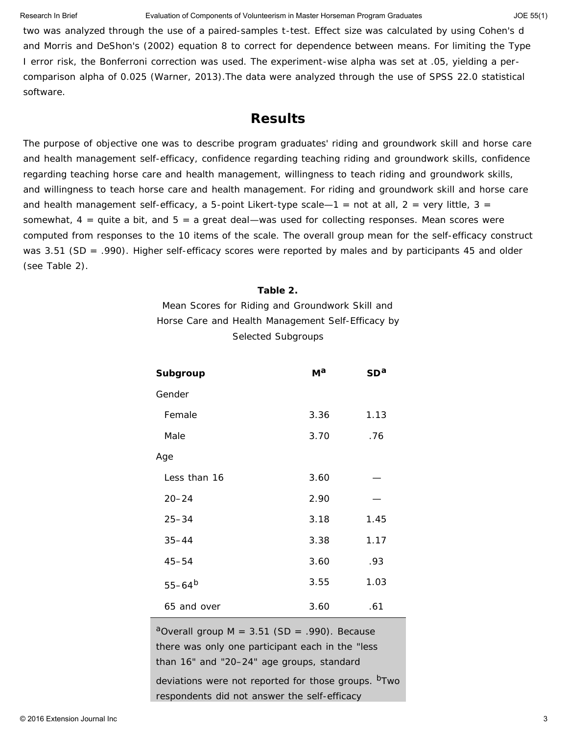#### Research In Brief **Exaluation of Components of Volunteerism** in Master Horseman Program Graduates JOE 55(1) JOE 55(1)

two was analyzed through the use of a paired-samples *t*-test. Effect size was calculated by using Cohen's *d* and Morris and DeShon's (2002) equation 8 to correct for dependence between means. For limiting the Type I error risk, the Bonferroni correction was used. The experiment-wise alpha was set at .05, yielding a percomparison alpha of 0.025 (Warner, 2013).The data were analyzed through the use of SPSS 22.0 statistical software.

### **Results**

The purpose of objective one was to describe program graduates' riding and groundwork skill and horse care and health management self-efficacy, confidence regarding teaching riding and groundwork skills, confidence regarding teaching horse care and health management, willingness to teach riding and groundwork skills, and willingness to teach horse care and health management. For riding and groundwork skill and horse care and health management self-efficacy, a 5-point Likert-type scale—1 = *not at all*, 2 = *very little*, 3 = *somewhat*, 4 = *quite a bit*, and 5 = *a great deal*—was used for collecting responses. Mean scores were computed from responses to the 10 items of the scale. The overall group mean for the self-efficacy construct was 3.51 (*SD* = .990). Higher self-efficacy scores were reported by males and by participants 45 and older (see Table 2).

#### **Table 2.**

Mean Scores for Riding and Groundwork Skill and Horse Care and Health Management Self-Efficacy by Selected Subgroups

| <b>Subgroup</b> | М <sup>а</sup> | SD <sup>a</sup> |
|-----------------|----------------|-----------------|
| Gender          |                |                 |
| Female          | 3.36           | 1.13            |
| Male            | 3.70           | .76             |
| Age             |                |                 |
| Less than 16    | 3.60           |                 |
| $20 - 24$       | 2.90           |                 |
| $25 - 34$       | 3.18           | 1.45            |
| $35 - 44$       | 3.38           | 1.17            |
| $45 - 54$       | 3.60           | .93             |
| $55 - 64^{b}$   | 3.55           | 1.03            |
| 65 and over     | 3.60           | .61             |

<sup>a</sup>Overall group  $M = 3.51$  (*SD* = .990). Because there was only one participant each in the "less than 16" and "20–24" age groups, standard deviations were not reported for those groups. <sup>b</sup>Two respondents did not answer the self-efficacy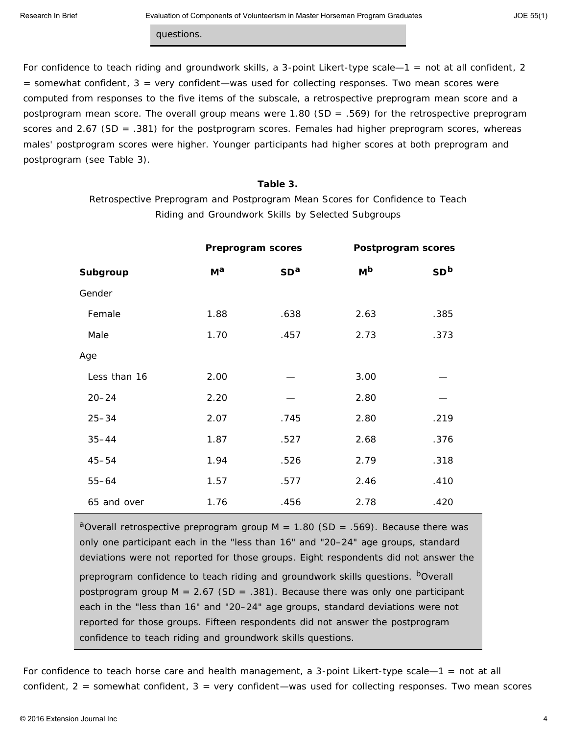questions.

For confidence to teach riding and groundwork skills, a 3-point Likert-type scale—1 = *not at all confident*, 2 = *somewhat confident*, 3 = *very confident*—was used for collecting responses. Two mean scores were computed from responses to the five items of the subscale, a retrospective preprogram mean score and a postprogram mean score. The overall group means were 1.80 (*SD* = .569) for the retrospective preprogram scores and 2.67 (*SD* = .381) for the postprogram scores. Females had higher preprogram scores, whereas males' postprogram scores were higher. Younger participants had higher scores at both preprogram and postprogram (see Table 3).

#### **Table 3.**

Retrospective Preprogram and Postprogram Mean Scores for Confidence to Teach Riding and Groundwork Skills by Selected Subgroups

|              |             | Preprogram scores | Postprogram scores |                 |
|--------------|-------------|-------------------|--------------------|-----------------|
| Subgroup     | $M^{\rm a}$ | SD <sup>a</sup>   | $M^{\rm b}$        | SD <sup>b</sup> |
| Gender       |             |                   |                    |                 |
| Female       | 1.88        | .638              | 2.63               | .385            |
| Male         | 1.70        | .457              | 2.73               | .373            |
| Age          |             |                   |                    |                 |
| Less than 16 | 2.00        |                   | 3.00               |                 |
| $20 - 24$    | 2.20        |                   | 2.80               |                 |
| $25 - 34$    | 2.07        | .745              | 2.80               | .219            |
| $35 - 44$    | 1.87        | .527              | 2.68               | .376            |
| $45 - 54$    | 1.94        | .526              | 2.79               | .318            |
| $55 - 64$    | 1.57        | .577              | 2.46               | .410            |
| 65 and over  | 1.76        | .456              | 2.78               | .420            |

<sup>a</sup>Overall retrospective preprogram group  $M = 1.80$  (*SD* = .569). Because there was only one participant each in the "less than 16" and "20–24" age groups, standard deviations were not reported for those groups. Eight respondents did not answer the preprogram confidence to teach riding and groundwork skills questions. **b**Overall postprogram group *M* = 2.67 (*SD* = .381). Because there was only one participant each in the "less than 16" and "20–24" age groups, standard deviations were not reported for those groups. Fifteen respondents did not answer the postprogram confidence to teach riding and groundwork skills questions.

For confidence to teach horse care and health management, a 3-point Likert-type scale—1 = *not at all confident*, 2 = *somewhat confident*, 3 = *very confident*—was used for collecting responses. Two mean scores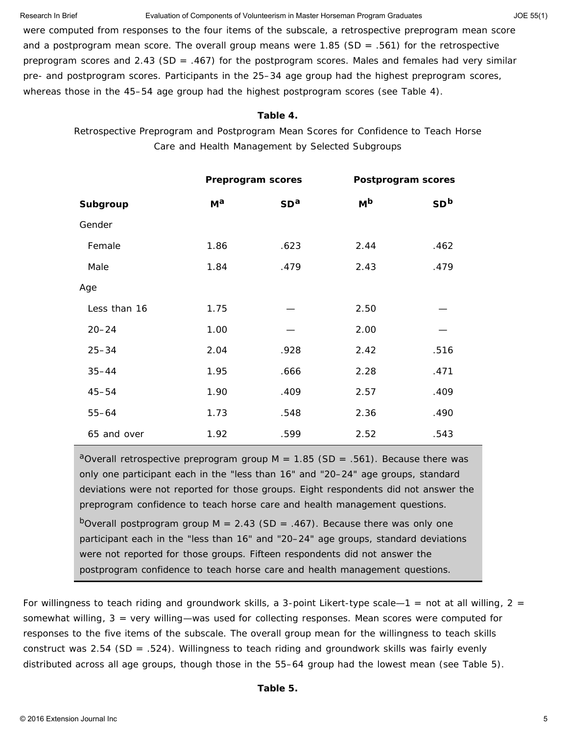#### Research In Brief **Exaluation of Components of Volunteerism** in Master Horseman Program Graduates JOE 55(1) JOE 55(1)

were computed from responses to the four items of the subscale, a retrospective preprogram mean score and a postprogram mean score. The overall group means were 1.85 (*SD* = .561) for the retrospective preprogram scores and 2.43 (*SD* = .467) for the postprogram scores. Males and females had very similar pre- and postprogram scores. Participants in the 25–34 age group had the highest preprogram scores, whereas those in the 45–54 age group had the highest postprogram scores (see Table 4).

#### **Table 4.**

Retrospective Preprogram and Postprogram Mean Scores for Confidence to Teach Horse Care and Health Management by Selected Subgroups

|              | Preprogram scores |                 | Postprogram scores |                 |
|--------------|-------------------|-----------------|--------------------|-----------------|
| Subgroup     | $M^{\rm a}$       | SD <sup>a</sup> | $M^{\rm b}$        | SD <sup>b</sup> |
| Gender       |                   |                 |                    |                 |
| Female       | 1.86              | .623            | 2.44               | .462            |
| Male         | 1.84              | .479            | 2.43               | .479            |
| Age          |                   |                 |                    |                 |
| Less than 16 | 1.75              |                 | 2.50               |                 |
| $20 - 24$    | 1.00              |                 | 2.00               |                 |
| $25 - 34$    | 2.04              | .928            | 2.42               | .516            |
| $35 - 44$    | 1.95              | .666            | 2.28               | .471            |
| $45 - 54$    | 1.90              | .409            | 2.57               | .409            |
| $55 - 64$    | 1.73              | .548            | 2.36               | .490            |
| 65 and over  | 1.92              | .599            | 2.52               | .543            |

<sup>a</sup>Overall retrospective preprogram group  $M = 1.85$  (SD = .561). Because there was only one participant each in the "less than 16" and "20–24" age groups, standard deviations were not reported for those groups. Eight respondents did not answer the preprogram confidence to teach horse care and health management questions. b<sub>Overall</sub> postprogram group  $M = 2.43$  (*SD* = .467). Because there was only one participant each in the "less than 16" and "20–24" age groups, standard deviations were not reported for those groups. Fifteen respondents did not answer the postprogram confidence to teach horse care and health management questions.

For willingness to teach riding and groundwork skills, a 3-point Likert-type scale—1 = *not at all willing*, 2 = *somewhat willing*, 3 = *very willing*—was used for collecting responses. Mean scores were computed for responses to the five items of the subscale. The overall group mean for the willingness to teach skills construct was 2.54 (*SD* = .524). Willingness to teach riding and groundwork skills was fairly evenly distributed across all age groups, though those in the 55–64 group had the lowest mean (see Table 5).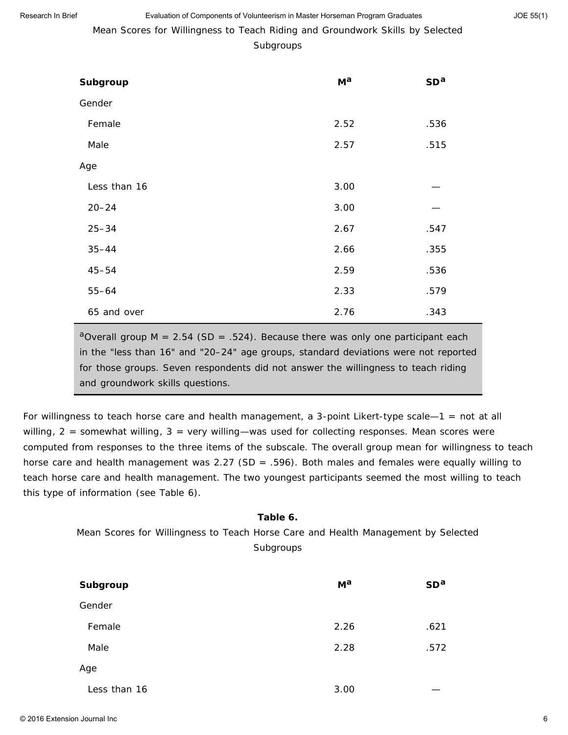Mean Scores for Willingness to Teach Riding and Groundwork Skills by Selected

#### Subgroups

| Subgroup     | $M^{\rm a}$ | SD <sup>a</sup> |
|--------------|-------------|-----------------|
| Gender       |             |                 |
| Female       | 2.52        | .536            |
| Male         | 2.57        | .515            |
| Age          |             |                 |
| Less than 16 | 3.00        |                 |
| $20 - 24$    | 3.00        |                 |
| $25 - 34$    | 2.67        | .547            |
| $35 - 44$    | 2.66        | .355            |
| $45 - 54$    | 2.59        | .536            |
| $55 - 64$    | 2.33        | .579            |
| 65 and over  | 2.76        | .343            |

<sup>a</sup>Overall group  $M = 2.54$  ( $SD = .524$ ). Because there was only one participant each in the "less than 16" and "20–24" age groups, standard deviations were not reported for those groups. Seven respondents did not answer the willingness to teach riding and groundwork skills questions.

For willingness to teach horse care and health management, a 3-point Likert-type scale—1 = *not at all willing*, 2 = *somewhat willing*, 3 = *very willing*—was used for collecting responses. Mean scores were computed from responses to the three items of the subscale. The overall group mean for willingness to teach horse care and health management was 2.27 (*SD* = .596). Both males and females were equally willing to teach horse care and health management. The two youngest participants seemed the most willing to teach this type of information (see Table 6).

## Mean Scores for Willingness to Teach Horse Care and Health Management by Selected Subgroups

**Table 6.**

| Subgroup     | $M^{\rm a}$ | SD <sup>a</sup> |
|--------------|-------------|-----------------|
| Gender       |             |                 |
| Female       | 2.26        | .621            |
| Male         | 2.28        | .572            |
| Age          |             |                 |
| Less than 16 | 3.00        |                 |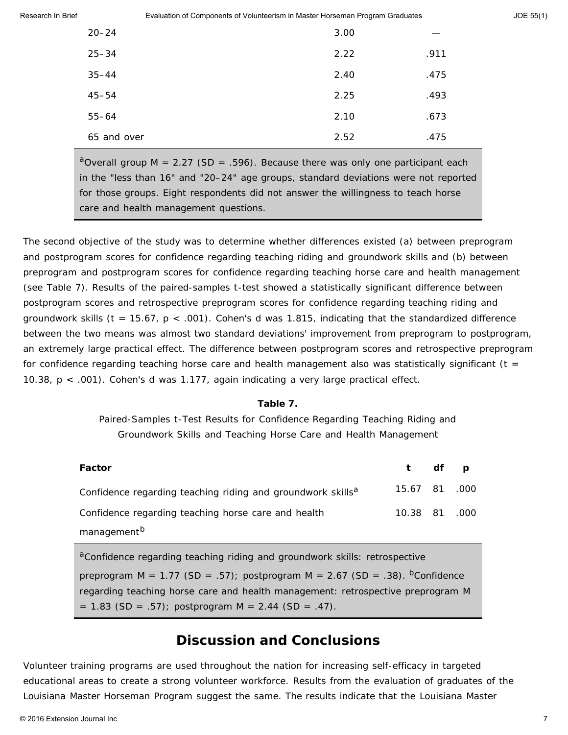| Research In Brief | Evaluation of Components of Volunteerism in Master Horseman Program Graduates | JOE 55(1) |
|-------------------|-------------------------------------------------------------------------------|-----------|
|                   |                                                                               |           |

| $20 - 24$   | 3.00 |      |
|-------------|------|------|
| $25 - 34$   | 2.22 | .911 |
| $35 - 44$   | 2.40 | .475 |
| $45 - 54$   | 2.25 | .493 |
| $55 - 64$   | 2.10 | .673 |
| 65 and over | 2.52 | .475 |

<sup>a</sup>Overall group  $M = 2.27$  (*SD* = .596). Because there was only one participant each in the "less than 16" and "20–24" age groups, standard deviations were not reported for those groups. Eight respondents did not answer the willingness to teach horse care and health management questions.

The second objective of the study was to determine whether differences existed (a) between preprogram and postprogram scores for confidence regarding teaching riding and groundwork skills and (b) between preprogram and postprogram scores for confidence regarding teaching horse care and health management (see Table 7). Results of the paired-samples *t*-test showed a statistically significant difference between postprogram scores and retrospective preprogram scores for confidence regarding teaching riding and groundwork skills (*t* = 15.67, *p* < .001). Cohen's *d* was 1.815, indicating that the standardized difference between the two means was almost two standard deviations' improvement from preprogram to postprogram, an extremely large practical effect. The difference between postprogram scores and retrospective preprogram for confidence regarding teaching horse care and health management also was statistically significant  $(t =$ 10.38, *p* < .001). Cohen's *d* was 1.177, again indicating a very large practical effect.

#### **Table 7.**

Paired-Samples *t*-Test Results for Confidence Regarding Teaching Riding and Groundwork Skills and Teaching Horse Care and Health Management

| Factor                                                                  | t df p        |  |
|-------------------------------------------------------------------------|---------------|--|
| Confidence regarding teaching riding and groundwork skills <sup>a</sup> | 15.67 81 .000 |  |
| Confidence regarding teaching horse care and health                     | 10.38 81 .000 |  |
| management <sup>b</sup>                                                 |               |  |

<sup>a</sup>Confidence regarding teaching riding and groundwork skills: retrospective preprogram  $M = 1.77$  (*SD* = .57); postprogram  $M = 2.67$  (*SD* = .38). <sup>b</sup>Confidence regarding teaching horse care and health management: retrospective preprogram *M* = 1.83 (*SD* = .57); postprogram *M* = 2.44 (*SD* = .47).

### **Discussion and Conclusions**

Volunteer training programs are used throughout the nation for increasing self-efficacy in targeted educational areas to create a strong volunteer workforce. Results from the evaluation of graduates of the Louisiana Master Horseman Program suggest the same. The results indicate that the Louisiana Master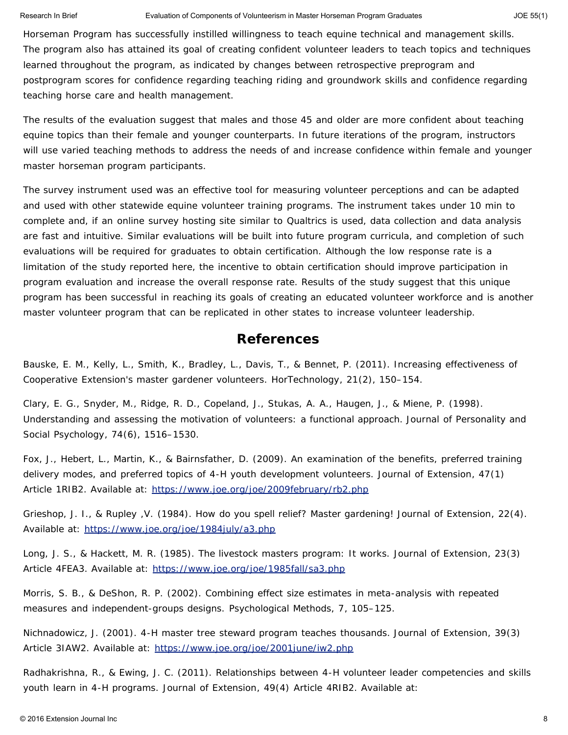Horseman Program has successfully instilled willingness to teach equine technical and management skills. The program also has attained its goal of creating confident volunteer leaders to teach topics and techniques learned throughout the program, as indicated by changes between retrospective preprogram and postprogram scores for confidence regarding teaching riding and groundwork skills and confidence regarding teaching horse care and health management.

The results of the evaluation suggest that males and those 45 and older are more confident about teaching equine topics than their female and younger counterparts. In future iterations of the program, instructors will use varied teaching methods to address the needs of and increase confidence within female and younger master horseman program participants.

The survey instrument used was an effective tool for measuring volunteer perceptions and can be adapted and used with other statewide equine volunteer training programs. The instrument takes under 10 min to complete and, if an online survey hosting site similar to Qualtrics is used, data collection and data analysis are fast and intuitive. Similar evaluations will be built into future program curricula, and completion of such evaluations will be required for graduates to obtain certification. Although the low response rate is a limitation of the study reported here, the incentive to obtain certification should improve participation in program evaluation and increase the overall response rate. Results of the study suggest that this unique program has been successful in reaching its goals of creating an educated volunteer workforce and is another master volunteer program that can be replicated in other states to increase volunteer leadership.

### **References**

Bauske, E. M., Kelly, L., Smith, K., Bradley, L., Davis, T., & Bennet, P. (2011). Increasing effectiveness of Cooperative Extension's master gardener volunteers. *HorTechnology*, *21*(2), 150–154.

Clary, E. G., Snyder, M., Ridge, R. D., Copeland, J., Stukas, A. A., Haugen, J., & Miene, P. (1998). Understanding and assessing the motivation of volunteers: a functional approach. *Journal of Personality and Social Psychology*, *74*(6), 1516–1530.

Fox, J., Hebert, L., Martin, K., & Bairnsfather, D. (2009). An examination of the benefits, preferred training delivery modes, and preferred topics of 4-H youth development volunteers. *Journal of Extension*, *47*(1) Article 1RIB2. Available at: <https://www.joe.org/joe/2009february/rb2.php>

Grieshop, J. I., & Rupley ,V. (1984). How do you spell relief? Master gardening! *Journal of Extension*, *22*(4). Available at: <https://www.joe.org/joe/1984july/a3.php>

Long, J. S., & Hackett, M. R. (1985). The livestock masters program: It works. *Journal of Extension*, *23*(3) Article 4FEA3. Available at: <https://www.joe.org/joe/1985fall/sa3.php>

Morris, S. B., & DeShon, R. P. (2002). Combining effect size estimates in meta-analysis with repeated measures and independent-groups designs. *Psychological Methods*, *7*, 105–125.

Nichnadowicz, J. (2001). 4-H master tree steward program teaches thousands. *Journal of Extension*, *39*(3) Article 3IAW2. Available at: <https://www.joe.org/joe/2001june/iw2.php>

Radhakrishna, R., & Ewing, J. C. (2011). Relationships between 4-H volunteer leader competencies and skills youth learn in 4-H programs. *Journal of Extension*, *49*(4) Article 4RIB2. Available at: